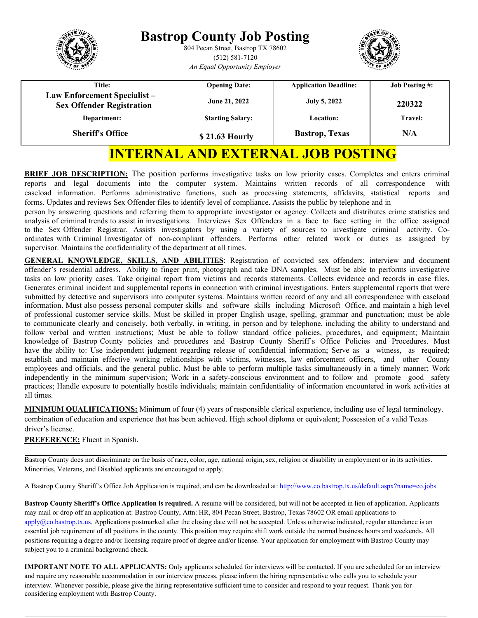| <b>Title:</b><br><b>Opening Date:</b><br>Law Enforcement Specialist-<br>June 21, 2022<br>July 5, 2022<br><b>Sex Offender Registration</b><br><b>Starting Salary:</b><br><b>Location:</b><br>Department: |                                 |                              | <b>Bastrop County Job Posting</b><br>804 Pecan Street, Bastrop TX 78602<br>$(512) 581 - 7120$<br>An Equal Opportunity Employer |  |
|---------------------------------------------------------------------------------------------------------------------------------------------------------------------------------------------------------|---------------------------------|------------------------------|--------------------------------------------------------------------------------------------------------------------------------|--|
|                                                                                                                                                                                                         | <b>Job Posting #:</b><br>220322 | <b>Application Deadline:</b> |                                                                                                                                |  |
| <b>Sheriff's Office</b><br>\$21.63 Hourly                                                                                                                                                               | <b>Travel:</b><br>N/A           | <b>Bastrop</b> , Texas       |                                                                                                                                |  |

# **INTERNAL AND EXTERNAL JOB POSTING**

**BRIEF JOB DESCRIPTION:** The position performs investigative tasks on low priority cases. Completes and enters criminal reports and legal documents into the computer system. Maintains written records of all correspondence with caseload information. Performs administrative functions, such as processing statements, affidavits, statistical reports and forms. Updates and reviews Sex Offender files to identify level of compliance. Assists the public by telephone and in

person by answering questions and referring them to appropriate investigator or agency. Collects and distributes crime statistics and analysis of criminal trends to assist in investigations. Interviews Sex Offenders in a face to face setting in the office assigned to the Sex Offender Registrar. Assists investigators by using a variety of sources to investigate criminal activity. Coordinates with Criminal Investigator of non-compliant offenders. Performs other related work or duties as assigned by supervisor. Maintains the confidentiality of the department at all times.

**GENERAL KNOWLEDGE, SKILLS, AND ABILITIES**: Registration of convicted sex offenders; interview and document offender's residential address. Ability to finger print, photograph and take DNA samples. Must be able to performs investigative tasks on low priority cases. Take original report from victims and records statements. Collects evidence and records in case files. Generates criminal incident and supplemental reports in connection with criminal investigations. Enters supplemental reports that were submitted by detective and supervisors into computer systems. Maintains written record of any and all correspondence with caseload information. Must also possess personal computer skills and software skills including Microsoft Office, and maintain a high level of professional customer service skills. Must be skilled in proper English usage, spelling, grammar and punctuation; must be able to communicate clearly and concisely, both verbally, in writing, in person and by telephone, including the ability to understand and follow verbal and written instructions; Must be able to follow standard office policies, procedures, and equipment; Maintain knowledge of Bastrop County policies and procedures and Bastrop County Sheriff's Office Policies and Procedures. Must have the ability to: Use independent judgment regarding release of confidential information; Serve as a witness, as required; establish and maintain effective working relationships with victims, witnesses, law enforcement officers, and other County employees and officials, and the general public. Must be able to perform multiple tasks simultaneously in a timely manner; Work independently in the minimum supervision; Work in a safety-conscious environment and to follow and promote good safety practices; Handle exposure to potentially hostile individuals; maintain confidentiality of information encountered in work activities at all times.

**MINIMUM QUALIFICATIONS:** Minimum of four (4) years of responsible clerical experience, including use of legal terminology. combination of education and experience that has been achieved. High school diploma or equivalent; Possession of a valid Texas driver's license.

#### **PREFERENCE:** Fluent in Spanish.

Bastrop County does not discriminate on the basis of race, color, age, national origin, sex, religion or disability in employment or in its activities. Minorities, Veterans, and Disabled applicants are encouraged to apply.

[A Bastrop County Sh](mailto:apply@co.bastrop.tx.us)eriff's Office Job Application is required, and can be downloaded at[: http://www.co.bastrop.tx.us/default.aspx?name=co.jobs](http://www.co.bastrop.tx.us/default.aspx?name=co.jobs)

**Bastrop County Sheriff's Office Application is required.** A resume will be considered, but will not be accepted in lieu of application. Applicants may mail or drop off an application at: Bastrop County, Attn: HR, 804 Pecan Street, Bastrop, Texas 78602 OR email applications to  $\frac{\text{apply}(\partial \text{co.bastro,tx.us.}}{\text{Applications postmarked after the closing date will not be accepted. Unless otherwise indicated, regular attendance is an$ essential job requirement of all positions in the county. This position may require shift work outside the normal business hours and weekends. All positions requiring a degree and/or licensing require proof of degree and/or license. Your application for employment with Bastrop County may subject you to a criminal background check.

considering employment with Bastrop County. **IMPORTANT NOTE TO ALL APPLICANTS:** Only applicants scheduled for interviews will be contacted. If you are scheduled for an interview and require any reasonable accommodation in our interview process, please inform the hiring representative who calls you to schedule your interview. Whenever possible, please give the hiring representative sufficient time to consider and respond to your request. Thank you for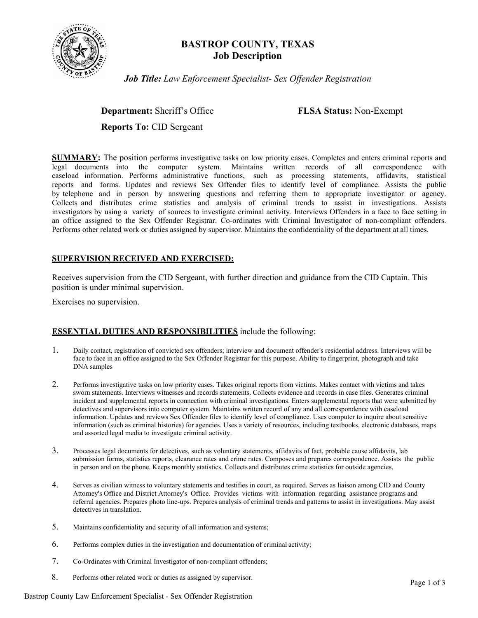

# **BASTROP COUNTY, TEXAS Job Description**

*Job Title: Law Enforcement Specialist- Sex Offender Registration*

**Department:** Sheriff's Office **FLSA Status:** Non-Exempt

**Reports To:** CID Sergeant

**SUMMARY:** The position performs investigative tasks on low priority cases. Completes and enters criminal reports and legal documents into the computer system. Maintains written records of all correspondence with caseload information. Performs administrative functions, such as processing statements, affidavits, statistical reports and forms. Updates and reviews Sex Offender files to identify level of compliance. Assists the public by telephone and in person by answering questions and referring them to appropriate investigator or agency. Collects and distributes crime statistics and analysis of criminal trends to assist in investigations. Assists investigators by using a variety of sources to investigate criminal activity. Interviews Offenders in a face to face setting in an office assigned to the Sex Offender Registrar. Co-ordinates with Criminal Investigator of non-compliant offenders. Performs other related work or duties assigned by supervisor. Maintains the confidentiality of the department at all times.

#### **SUPERVISION RECEIVED AND EXERCISED:**

Receives supervision from the CID Sergeant, with further direction and guidance from the CID Captain. This position is under minimal supervision.

Exercises no supervision.

# **ESSENTIAL DUTIES AND RESPONSIBILITIES** include the following:

- 1. Daily contact, registration of convicted sex offenders; interview and document offender's residential address. Interviews will be face to face in an office assigned to the Sex Offender Registrar for this purpose. Ability to fingerprint, photograph and take DNA samples
- 2. Performs investigative tasks on low priority cases. Takes original reports from victims. Makes contact with victims and takes sworn statements. Interviews witnesses and records statements. Collects evidence and records in case files. Generates criminal incident and supplemental reports in connection with criminal investigations. Enters supplemental reports that were submitted by detectives and supervisors into computer system. Maintains written record of any and all correspondence with caseload information. Updates and reviews Sex Offender files to identify level of compliance. Uses computer to inquire about sensitive information (such as criminal histories) for agencies. Uses a variety of resources, including textbooks, electronic databases, maps and assorted legal media to investigate criminal activity.
- 3. Processes legal documents for detectives, such as voluntary statements, affidavits of fact, probable cause affidavits, lab submission forms, statistics reports, clearance rates and crime rates. Composes and prepares correspondence. Assists the public in person and on the phone. Keeps monthly statistics. Collects and distributes crime statistics for outside agencies.
- 4. Serves as civilian witness to voluntary statements and testifies in court, as required. Serves as liaison among CID and County Attorney's Office and District Attorney's Office. Provides victims with information regarding assistance programs and referral agencies. Prepares photo line-ups. Prepares analysis of criminal trends and patterns to assist in investigations. May assist detectives in translation.
- 5. Maintains confidentiality and security of all information and systems;
- 6. Performs complex duties in the investigation and documentation of criminal activity;
- 7. Co-Ordinates with Criminal Investigator of non-compliant offenders;
- 8. Performs other related work or duties as assigned by supervisor. Page 1 of 3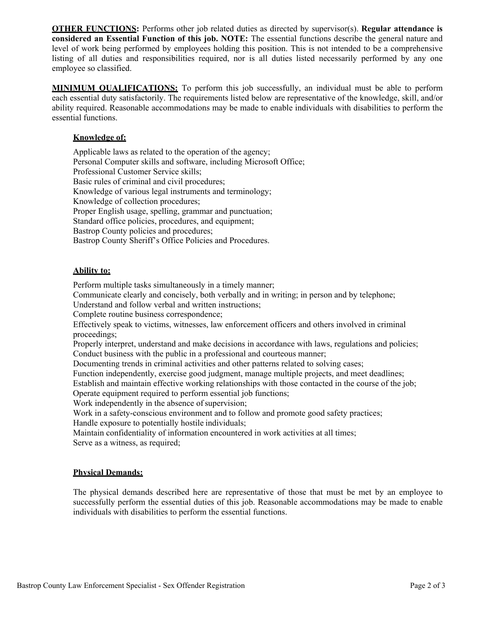**OTHER FUNCTIONS:** Performs other job related duties as directed by supervisor(s). **Regular attendance is considered an Essential Function of this job. NOTE:** The essential functions describe the general nature and level of work being performed by employees holding this position. This is not intended to be a comprehensive listing of all duties and responsibilities required, nor is all duties listed necessarily performed by any one employee so classified.

**MINIMUM QUALIFICATIONS:** To perform this job successfully, an individual must be able to perform each essential duty satisfactorily. The requirements listed below are representative of the knowledge, skill, and/or ability required. Reasonable accommodations may be made to enable individuals with disabilities to perform the essential functions.

### **Knowledge of:**

Applicable laws as related to the operation of the agency; Personal Computer skills and software, including Microsoft Office; Professional Customer Service skills; Basic rules of criminal and civil procedures; Knowledge of various legal instruments and terminology; Knowledge of collection procedures; Proper English usage, spelling, grammar and punctuation; Standard office policies, procedures, and equipment; Bastrop County policies and procedures; Bastrop County Sheriff's Office Policies and Procedures.

#### **Ability to:**

Perform multiple tasks simultaneously in a timely manner;

Communicate clearly and concisely, both verbally and in writing; in person and by telephone;

Understand and follow verbal and written instructions;

Complete routine business correspondence;

Effectively speak to victims, witnesses, law enforcement officers and others involved in criminal proceedings;

Properly interpret, understand and make decisions in accordance with laws, regulations and policies; Conduct business with the public in a professional and courteous manner;

Documenting trends in criminal activities and other patterns related to solving cases;

Function independently, exercise good judgment, manage multiple projects, and meet deadlines;

Establish and maintain effective working relationships with those contacted in the course of the job; Operate equipment required to perform essential job functions;

Work independently in the absence of supervision;

Work in a safety-conscious environment and to follow and promote good safety practices;

Handle exposure to potentially hostile individuals;

Maintain confidentiality of information encountered in work activities at all times; Serve as a witness, as required;

#### **Physical Demands:**

The physical demands described here are representative of those that must be met by an employee to successfully perform the essential duties of this job. Reasonable accommodations may be made to enable individuals with disabilities to perform the essential functions.